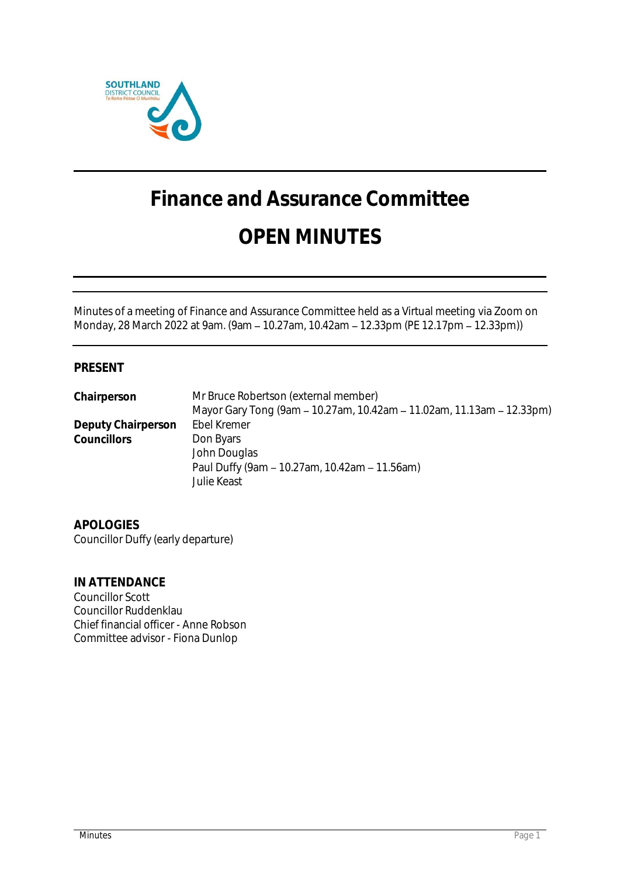

# **Finance and Assurance Committee OPEN MINUTES**

Minutes of a meeting of Finance and Assurance Committee held as a Virtual meeting via Zoom on Monday, 28 March 2022 at 9am. (9am - 10.27am, 10.42am - 12.33pm (PE 12.17pm - 12.33pm))

## **PRESENT**

| Chairperson        | Mr Bruce Robertson (external member)                                  |
|--------------------|-----------------------------------------------------------------------|
|                    | Mayor Gary Tong (9am – 10.27am, 10.42am – 11.02am, 11.13am – 12.33pm) |
| Deputy Chairperson | Ebel Kremer                                                           |
| <b>Councillors</b> | Don Byars                                                             |
|                    | John Douglas                                                          |
|                    | Paul Duffy (9am - 10.27am, 10.42am - 11.56am)                         |
|                    | Julie Keast                                                           |

**APOLOGIES** Councillor Duffy (early departure)

**IN ATTENDANCE** Councillor Scott Councillor Ruddenklau Chief financial officer - Anne Robson Committee advisor - Fiona Dunlop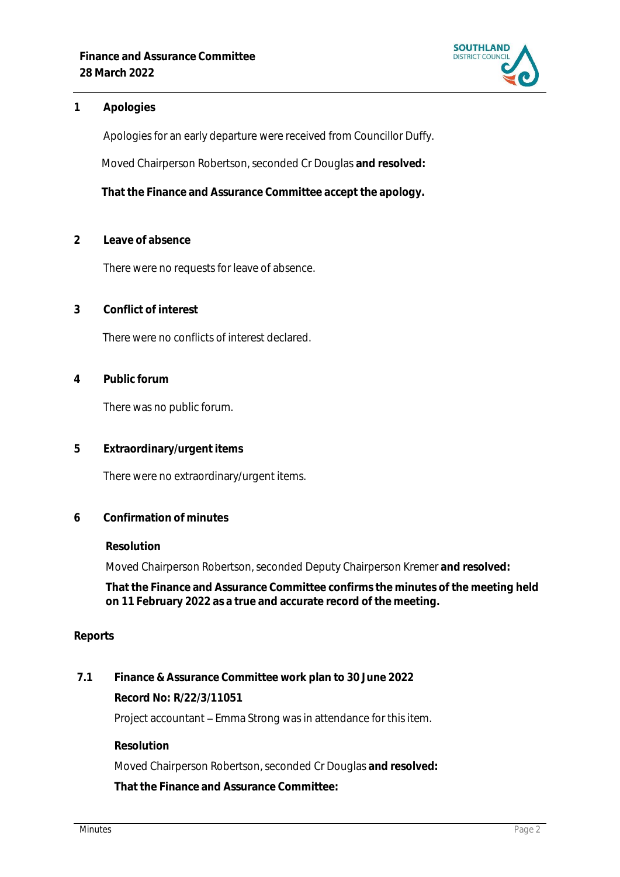

### **1 Apologies**

Apologies for an early departure were received from Councillor Duffy. Moved Chairperson Robertson, seconded Cr Douglas **and resolved:**

**That the Finance and Assurance Committee accept the apology.**

**2 Leave of absence** 

There were no requests for leave of absence.

**3 Conflict of interest**

There were no conflicts of interest declared.

**4 Public forum**

There was no public forum.

**5 Extraordinary/urgent items**

There were no extraordinary/urgent items.

**6 Confirmation of minutes**

**Resolution**

Moved Chairperson Robertson, seconded Deputy Chairperson Kremer **and resolved:**

**That the Finance and Assurance Committee confirms the minutes of the meeting held on 11 February 2022 as a true and accurate record of the meeting.**

### **Reports**

**7.1 Finance & Assurance Committee work plan to 30 June 2022 Record No: R/22/3/11051** Project accountant - Emma Strong was in attendance for this item. **Resolution** Moved Chairperson Robertson, seconded Cr Douglas **and resolved:**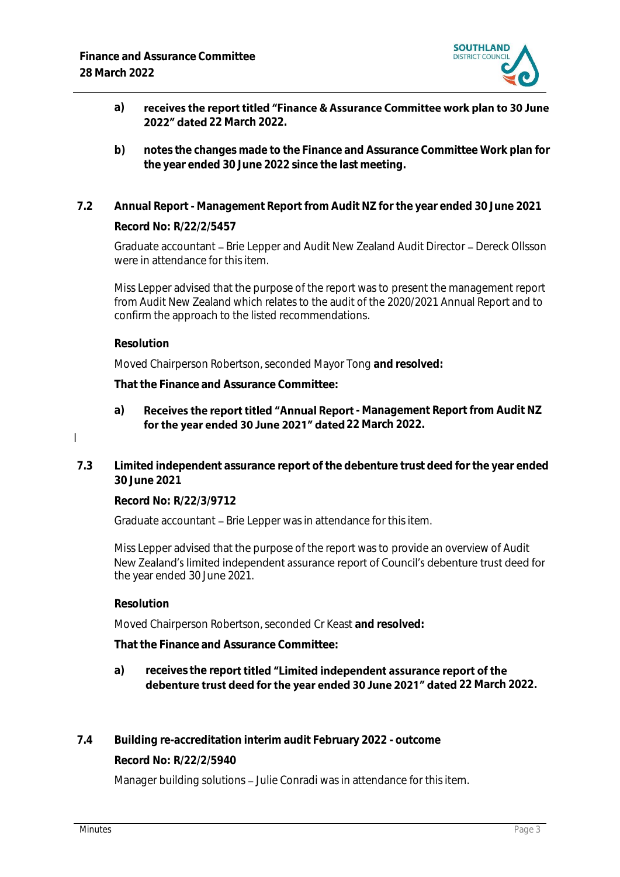

- receives the report titled "Finance & Assurance Committee work plan to 30 June **a) 2022" dated 22 March 2022.**
- **b) notes the changes made to the Finance and Assurance Committee Work plan for the year ended 30 June 2022 since the last meeting.**
- **7.2 Annual Report - Management Report from Audit NZ for the year ended 30 June 2021 Record No: R/22/2/5457**

Graduate accountant - Brie Lepper and Audit New Zealand Audit Director - Dereck Ollsson were in attendance for this item.

Miss Lepper advised that the purpose of the report was to present the management report from Audit New Zealand which relates to the audit of the 2020/2021 Annual Report and to confirm the approach to the listed recommendations.

**Resolution**

l

Moved Chairperson Robertson, seconded Mayor Tong **and resolved:**

**That the Finance and Assurance Committee:**

- a) **Receives the report titled "Annual Report** Management Report from Audit NZ for the year ended 30 June 2021" dated 22 March 2022.
- **7.3 Limited independent assurance report of the debenture trust deed for the year ended 30 June 2021**

**Record No: R/22/3/9712**

Graduate accountant – Brie Lepper was in attendance for this item.

Miss Lepper advised that the purpose of the report was to provide an overview of Audit New Zealand's limited independent assurance report of Council's debenture trust deed for the year ended 30 June 2021.

**Resolution**

Moved Chairperson Robertson, seconded Cr Keast **and resolved:**

**That the Finance and Assurance Committee:**

- a) receives the report titled "Limited independent assurance report of the debenture trust deed for the year ended 30 June 2021" dated 22 March 2022.
- **7.4 Building re-accreditation interim audit February 2022 - outcome Record No: R/22/2/5940**

Manager building solutions – Julie Conradi was in attendance for this item.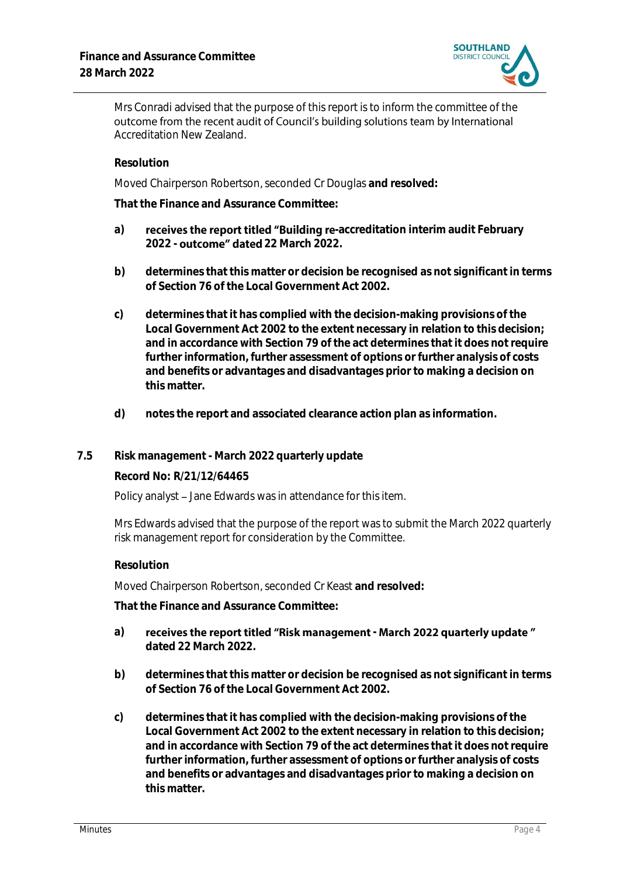

Mrs Conradi advised that the purpose of this report is to inform the committee of the outcome from the recent audit of Council's building solutions team by International Accreditation New Zealand.

#### **Resolution**

Moved Chairperson Robertson, seconded Cr Douglas **and resolved:**

**That the Finance and Assurance Committee:**

- a) **receives the report titled "Building re**-accreditation interim audit February **2022 - 22 March 2022.**
- **b) determines that this matter or decision be recognised as not significant in terms of Section 76 of the Local Government Act 2002.**
- **c) determines that it has complied with the decision-making provisions of the Local Government Act 2002 to the extent necessary in relation to this decision; and in accordance with Section 79 of the act determines that it does not require further information, further assessment of options or further analysis of costs and benefits or advantages and disadvantages prior to making a decision on this matter.**
- **d) notes the report and associated clearance action plan as information.**

### **7.5 Risk management - March 2022 quarterly update**

**Record No: R/21/12/64465**

Policy analyst – Jane Edwards was in attendance for this item.

Mrs Edwards advised that the purpose of the report was to submit the March 2022 quarterly risk management report for consideration by the Committee.

#### **Resolution**

Moved Chairperson Robertson, seconded Cr Keast **and resolved:**

- a) receives the report titled "Risk management March 2022 quarterly update" **dated 22 March 2022.**
- **b) determines that this matter or decision be recognised as not significant in terms of Section 76 of the Local Government Act 2002.**
- **c) determines that it has complied with the decision-making provisions of the Local Government Act 2002 to the extent necessary in relation to this decision; and in accordance with Section 79 of the act determines that it does not require further information, further assessment of options or further analysis of costs and benefits or advantages and disadvantages prior to making a decision on this matter.**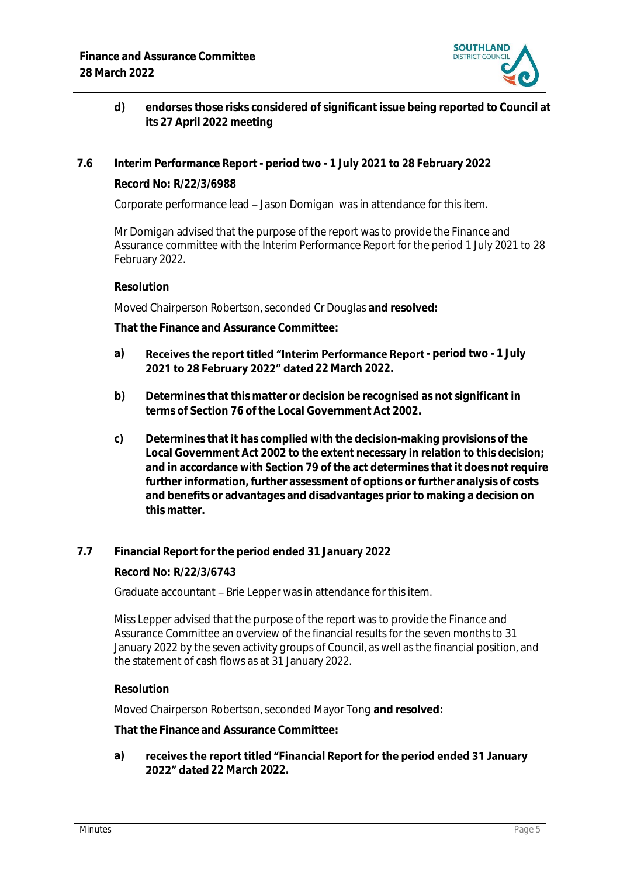

- **d) endorses those risks considered of significant issue being reported to Council at its 27 April 2022 meeting**
- **7.6 Interim Performance Report - period two - 1 July 2021 to 28 February 2022 Record No: R/22/3/6988**

Corporate performance lead – Jason Domigan was in attendance for this item.

Mr Domigan advised that the purpose of the report was to provide the Finance and Assurance committee with the Interim Performance Report for the period 1 July 2021 to 28 February 2022.

**Resolution**

Moved Chairperson Robertson, seconded Cr Douglas **and resolved:**

**That the Finance and Assurance Committee:**

- a) **Receives the report titled "Interim Performance Report** period two 1 July 2021 to 28 February 2022" dated 22 March 2022.
- **b) Determines that this matter or decision be recognised as not significant in terms of Section 76 of the Local Government Act 2002.**
- **c) Determines that it has complied with the decision-making provisions of the Local Government Act 2002 to the extent necessary in relation to this decision; and in accordance with Section 79 of the act determines that it does not require further information, further assessment of options or further analysis of costs and benefits or advantages and disadvantages prior to making a decision on this matter.**
- **7.7 Financial Report for the period ended 31 January 2022**

**Record No: R/22/3/6743**

Graduate accountant – Brie Lepper was in attendance for this item.

Miss Lepper advised that the purpose of the report was to provide the Finance and Assurance Committee an overview of the financial results for the seven months to 31 January 2022 by the seven activity groups of Council, as well as the financial position, and the statement of cash flows as at 31 January 2022.

**Resolution**

Moved Chairperson Robertson, seconded Mayor Tong **and resolved:**

**That the Finance and Assurance Committee:**

**a)** receives the report titled "Financial Report for the period ended 31 January **2022" dated 22 March 2022**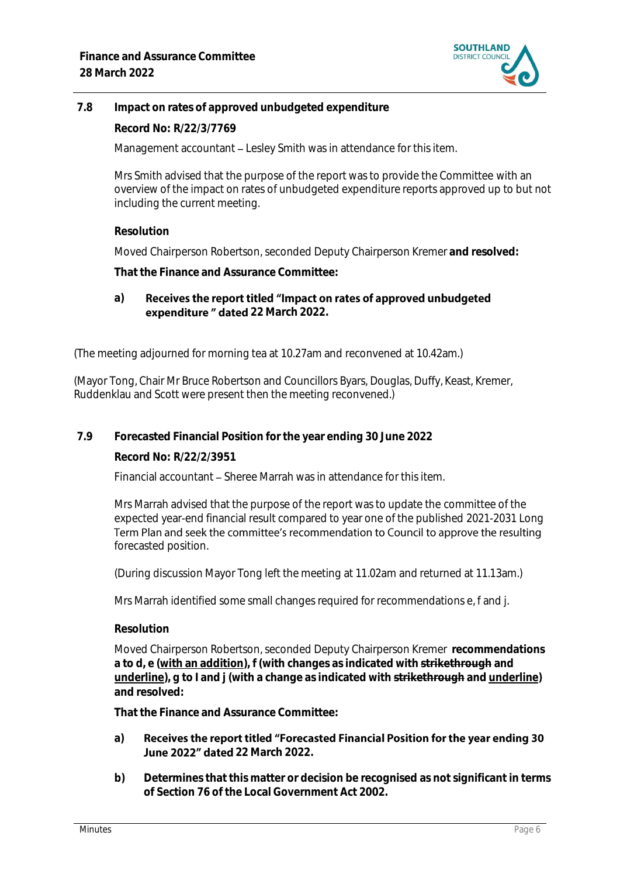

## **7.8 Impact on rates of approved unbudgeted expenditure**

**Record No: R/22/3/7769**

Management accountant – Lesley Smith was in attendance for this item.

Mrs Smith advised that the purpose of the report was to provide the Committee with an overview of the impact on rates of unbudgeted expenditure reports approved up to but not including the current meeting.

**Resolution**

Moved Chairperson Robertson, seconded Deputy Chairperson Kremer **and resolved:**

**That the Finance and Assurance Committee:**

#### **a)** Receives the report titled "Impact on rates of approved unbudgeted **expenditure " dated 22 March 2022.**

(The meeting adjourned for morning tea at 10.27am and reconvened at 10.42am.)

(Mayor Tong, Chair Mr Bruce Robertson and Councillors Byars, Douglas, Duffy, Keast, Kremer, Ruddenklau and Scott were present then the meeting reconvened.)

**7.9 Forecasted Financial Position for the year ending 30 June 2022**

**Record No: R/22/2/3951**

Financial accountant – Sheree Marrah was in attendance for this item.

Mrs Marrah advised that the purpose of the report was to update the committee of the expected year-end financial result compared to year one of the published 2021-2031 Long Term Plan and seek the committee's recommendation to Council to approve the resulting forecasted position.

(During discussion Mayor Tong left the meeting at 11.02am and returned at 11.13am.)

Mrs Marrah identified some small changes required for recommendations e, f and j.

**Resolution**

Moved Chairperson Robertson, seconded Deputy Chairperson Kremer **recommendations a to d, e (with an addition), f (with changes as indicated with strikethrough and underline), g to I and j (with a change as indicated with strikethrough and underline) and resolved:**

**That the Finance and Assurance Committee:**

#### Receives the report titled "Forecasted Financial Position for the year ending 30 **a) June 2022" dated 22 March 2022.**

**b) Determines that this matter or decision be recognised as not significant in terms of Section 76 of the Local Government Act 2002.**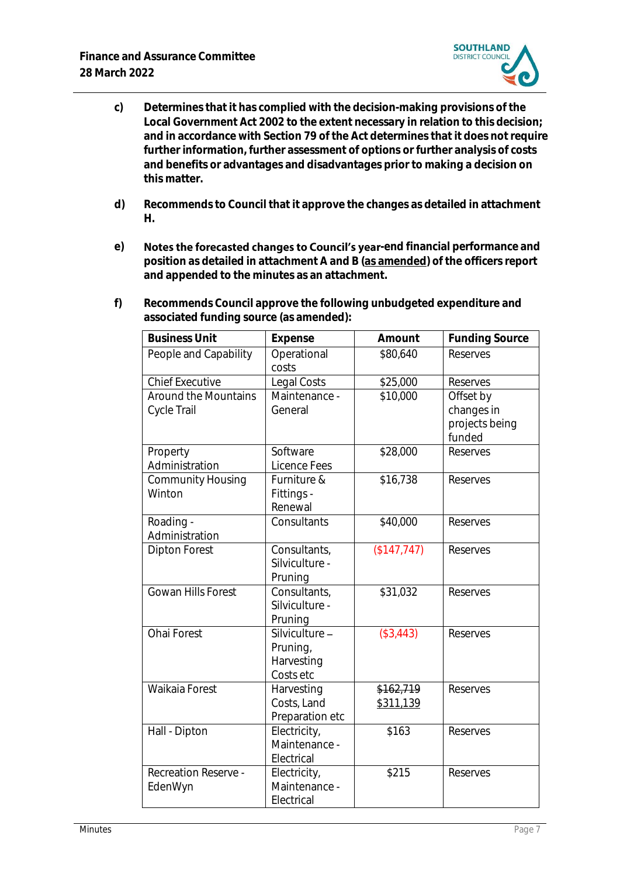

- **c) Determines that it has complied with the decision-making provisions of the Local Government Act 2002 to the extent necessary in relation to this decision; and in accordance with Section 79 of the Act determines that it does not require further information, further assessment of options or further analysis of costs and benefits or advantages and disadvantages prior to making a decision on this matter.**
- **d) Recommends to Council that it approve the changes as detailed in attachment H.**
- e) **Notes the forecasted changes to Council's year-end financial performance and position as detailed in attachment A and B (as amended) of the officers report and appended to the minutes as an attachment.**
- **f) Recommends Council approve the following unbudgeted expenditure and associated funding source (as amended):**

| <b>Business Unit</b>                   | Expense                                               | Amount                 | <b>Funding Source</b>                               |
|----------------------------------------|-------------------------------------------------------|------------------------|-----------------------------------------------------|
| People and Capability                  | Operational<br>costs                                  | \$80,640               | <b>Reserves</b>                                     |
| <b>Chief Executive</b>                 | Legal Costs                                           | \$25,000               | Reserves                                            |
| Around the Mountains<br>Cycle Trail    | Maintenance -<br>General                              | \$10,000               | Offset by<br>changes in<br>projects being<br>funded |
| Property<br>Administration             | Software<br>Licence Fees                              | \$28,000               | Reserves                                            |
| Community Housing<br>Winton            | Furniture &<br>Fittings -<br>Renewal                  | \$16,738               | Reserves                                            |
| Roading -<br>Administration            | Consultants                                           | \$40,000               | Reserves                                            |
| <b>Dipton Forest</b>                   | Consultants,<br>Silviculture -<br>Pruning             | (\$147,747)            | Reserves                                            |
| Gowan Hills Forest                     | Consultants,<br>Silviculture -<br>Pruning             | \$31,032               | Reserves                                            |
| Ohai Forest                            | Silviculture -<br>Pruning,<br>Harvesting<br>Costs etc | (\$3,443)              | Reserves                                            |
| Waikaia Forest                         | Harvesting<br>Costs, Land<br>Preparation etc          | \$162,719<br>\$311,139 | Reserves                                            |
| Hall - Dipton                          | Electricity,<br>Maintenance -<br>Electrical           | \$163                  | Reserves                                            |
| <b>Recreation Reserve -</b><br>EdenWyn | Electricity,<br>Maintenance -<br>Electrical           | \$215                  | Reserves                                            |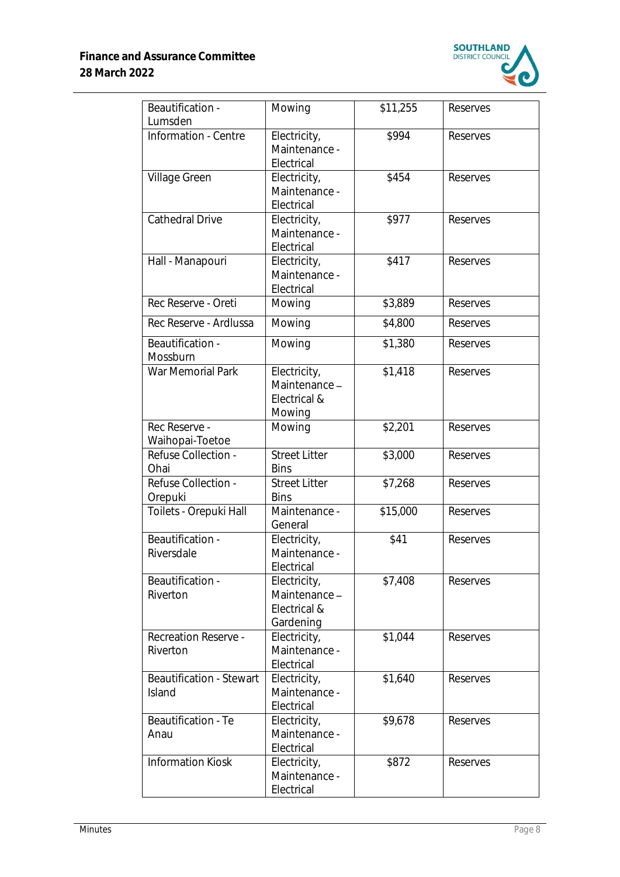

| Beautification -<br>Lumsden               | Mowing                                                    | \$11,255 | Reserves |
|-------------------------------------------|-----------------------------------------------------------|----------|----------|
| Information - Centre                      | Electricity,<br>Maintenance -<br>Electrical               | \$994    | Reserves |
| Village Green                             | Electricity,<br>Maintenance -<br>Electrical               | \$454    | Reserves |
| Cathedral Drive                           | Electricity,<br>Maintenance -<br>Electrical               | \$977    | Reserves |
| Hall - Manapouri                          | Electricity,<br>Maintenance -<br>Electrical               | \$417    | Reserves |
| Rec Reserve - Oreti                       | Mowing                                                    | \$3,889  | Reserves |
| Rec Reserve - Ardlussa                    | Mowing                                                    | \$4,800  | Reserves |
| Beautification -<br>Mossburn              | Mowing                                                    | \$1,380  | Reserves |
| War Memorial Park                         | Electricity,<br>Maintenance-<br>Electrical &<br>Mowing    | \$1,418  | Reserves |
| Rec Reserve -<br>Waihopai-Toetoe          | Mowing                                                    | \$2,201  | Reserves |
| Refuse Collection -<br>Ohai               | <b>Street Litter</b><br><b>Bins</b>                       | \$3,000  | Reserves |
| Refuse Collection -<br>Orepuki            | <b>Street Litter</b><br><b>Bins</b>                       | \$7,268  | Reserves |
| Toilets - Orepuki Hall                    | Maintenance -<br>General                                  | \$15,000 | Reserves |
| Beautification -<br>Riversdale            | Electricity,<br>Maintenance -<br>Electrical               | \$41     | Reserves |
| Beautification -<br>Riverton              | Electricity,<br>Maintenance-<br>Electrical &<br>Gardening | \$7,408  | Reserves |
| <b>Recreation Reserve -</b><br>Riverton   | Electricity,<br>Maintenance -<br>Electrical               | \$1,044  | Reserves |
| <b>Beautification - Stewart</b><br>Island | Electricity,<br>Maintenance -<br>Electrical               | \$1,640  | Reserves |
| Beautification - Te<br>Anau               | Electricity,<br>Maintenance -<br>Electrical               | \$9,678  | Reserves |
| <b>Information Kiosk</b>                  | Electricity,<br>Maintenance -<br>Electrical               | \$872    | Reserves |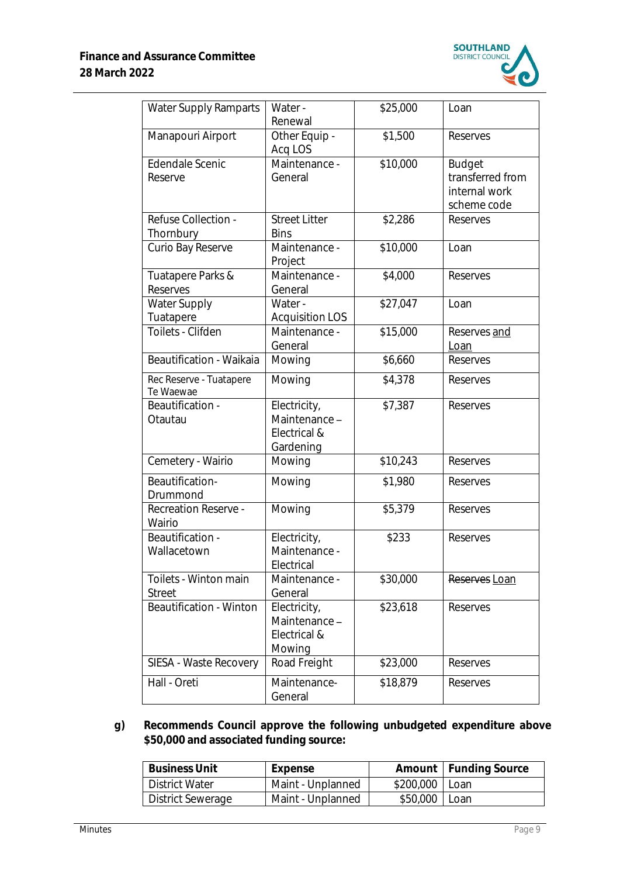

| <b>Water Supply Ramparts</b>           | Water -<br>Renewal                                     | \$25,000 | Loan             |
|----------------------------------------|--------------------------------------------------------|----------|------------------|
| Manapouri Airport                      | Other Equip -<br>Acq LOS                               | \$1,500  | Reserves         |
| Edendale Scenic                        | Maintenance -                                          | \$10,000 | <b>Budget</b>    |
| Reserve                                | General                                                |          | transferred from |
|                                        |                                                        |          | internal work    |
|                                        |                                                        |          | scheme code      |
| Refuse Collection -                    | <b>Street Litter</b>                                   | \$2,286  | Reserves         |
| Thornbury                              | <b>Bins</b>                                            |          |                  |
| Curio Bay Reserve                      | Maintenance -                                          | \$10,000 | Loan             |
|                                        | Project<br>Maintenance -                               | \$4,000  |                  |
| Tuatapere Parks &<br>Reserves          | General                                                |          | Reserves         |
| Water Supply                           | Water -                                                | \$27,047 | Loan             |
| Tuatapere                              | <b>Acquisition LOS</b>                                 |          |                  |
| Toilets - Clifden                      | Maintenance -                                          | \$15,000 | Reserves and     |
|                                        | General                                                |          | Loan             |
| Beautification - Waikaia               | Mowing                                                 | \$6,660  | Reserves         |
| Rec Reserve - Tuatapere<br>Te Waewae   | Mowing                                                 | \$4,378  | Reserves         |
| Beautification -<br>Otautau            | Electricity,<br>Maintenance-<br>Electrical &           | \$7,387  | Reserves         |
|                                        | Gardening                                              |          |                  |
| Cemetery - Wairio                      | Mowing                                                 | \$10,243 | Reserves         |
| Beautification-<br>Drummond            | Mowing                                                 | \$1,980  | Reserves         |
| <b>Recreation Reserve -</b><br>Wairio  | Mowing                                                 | \$5,379  | Reserves         |
| Beautification -<br>Wallacetown        | Electricity,<br>Maintenance -<br>Electrical            | \$233    | Reserves         |
| Toilets - Winton main<br><b>Street</b> | Maintenance -<br>General                               | \$30,000 | Reserves Loan    |
| <b>Beautification - Winton</b>         | Electricity,<br>Maintenance-<br>Electrical &<br>Mowing | \$23,618 | Reserves         |
| SIESA - Waste Recovery                 | Road Freight                                           | \$23,000 | Reserves         |
| Hall - Oreti                           | Maintenance-<br>General                                | \$18,879 | Reserves         |

**g) Recommends Council approve the following unbudgeted expenditure above \$50,000 and associated funding source:** 

| Business Unit     | Expense           |                | Amount   Funding Source |
|-------------------|-------------------|----------------|-------------------------|
| District Water    | Maint - Unplanned | \$200,000 Loan |                         |
| District Sewerage | Maint - Unplanned | \$50,000 Loan  |                         |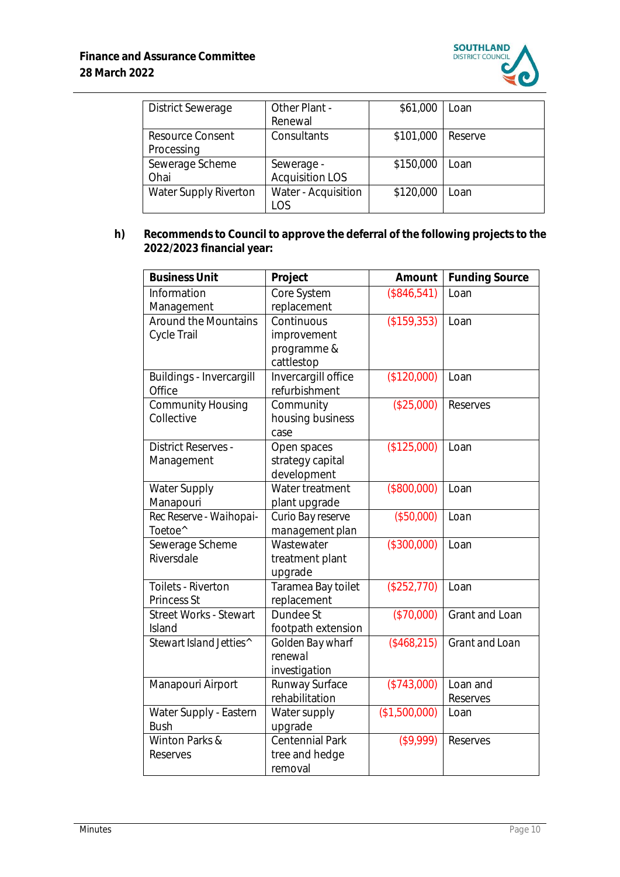

| <b>District Sewerage</b> | Other Plant -          | \$61,000  | Loan    |
|--------------------------|------------------------|-----------|---------|
|                          | Renewal                |           |         |
| <b>Resource Consent</b>  | Consultants            | \$101,000 | Reserve |
| Processing               |                        |           |         |
| Sewerage Scheme          | Sewerage -             | \$150,000 | Loan    |
| Ohai                     | <b>Acquisition LOS</b> |           |         |
| Water Supply Riverton    | Water - Acquisition    | \$120,000 | Loan    |
|                          | los                    |           |         |

**h) Recommends to Council to approve the deferral of the following projects to the 2022/2023 financial year:**

| <b>Business Unit</b>                     | Project                                                | Amount        | <b>Funding Source</b> |
|------------------------------------------|--------------------------------------------------------|---------------|-----------------------|
| Information<br>Management                | Core System<br>replacement                             | (\$846,541)   | Loan                  |
| Around the Mountains<br>Cycle Trail      | Continuous<br>improvement<br>programme &<br>cattlestop | (\$159,353)   | Loan                  |
| Buildings - Invercargill<br>Office       | Invercargill office<br>refurbishment                   | (\$120,000)   | Loan                  |
| <b>Community Housing</b><br>Collective   | Community<br>housing business<br>case                  | (\$25,000)    | Reserves              |
| <b>District Reserves -</b><br>Management | Open spaces<br>strategy capital<br>development         | (\$125,000)   | Loan                  |
| Water Supply<br>Manapouri                | Water treatment<br>plant upgrade                       | (\$800,000)   | Loan                  |
| Rec Reserve - Waihopai-<br>Toetoe^       | Curio Bay reserve<br>management plan                   | (\$50,000)    | Loan                  |
| Sewerage Scheme<br>Riversdale            | Wastewater<br>treatment plant<br>upgrade               | (\$300,000)   | Loan                  |
| Toilets - Riverton<br><b>Princess St</b> | Taramea Bay toilet<br>replacement                      | (\$252,770)   | Loan                  |
| <b>Street Works - Stewart</b><br>Island  | Dundee St<br>footpath extension                        | (\$70,000)    | Grant and Loan        |
| Stewart Island Jetties^                  | Golden Bay wharf<br>renewal<br>investigation           | ( \$468, 215) | Grant and Loan        |
| Manapouri Airport                        | Runway Surface<br>rehabilitation                       | (\$743,000)   | Loan and<br>Reserves  |
| Water Supply - Eastern<br><b>Bush</b>    | Water supply<br>upgrade                                | (\$1,500,000) | Loan                  |
| Winton Parks &<br>Reserves               | Centennial Park<br>tree and hedge<br>removal           | (\$9,999)     | Reserves              |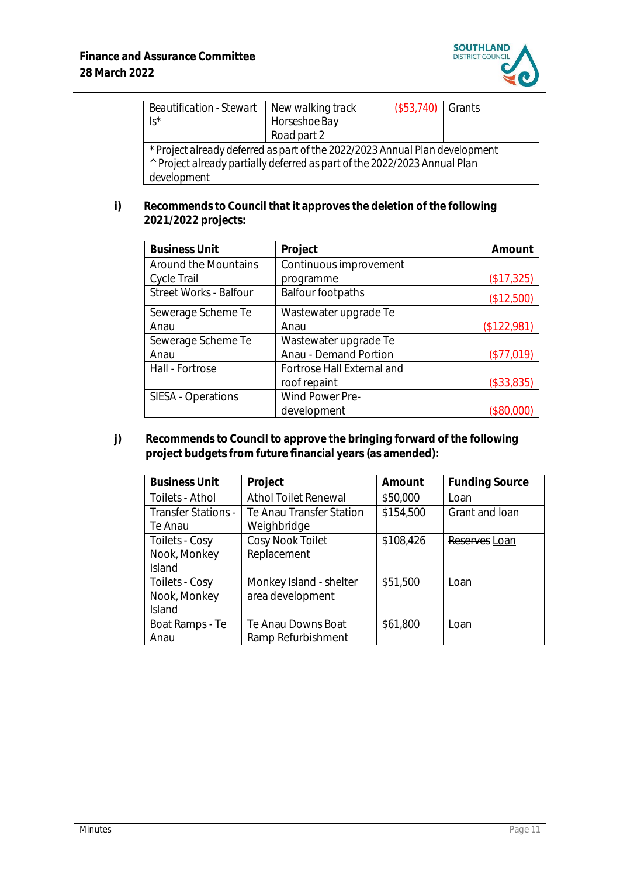

| Beautification - Stewart   New walking track<br>$\sqrt{S^*}$                                                                                                                       | Horseshoe Bay<br>Road part 2 | $($53,740)$ Grants |  |
|------------------------------------------------------------------------------------------------------------------------------------------------------------------------------------|------------------------------|--------------------|--|
| * Project already deferred as part of the 2022/2023 Annual Plan development<br><sup>^</sup> Project already partially deferred as part of the 2022/2023 Annual Plan<br>development |                              |                    |  |

**i) Recommends to Council that it approves the deletion of the following 2021/2022 projects:**

| <b>Business Unit</b>   | Project                    | Amount      |
|------------------------|----------------------------|-------------|
| Around the Mountains   | Continuous improvement     |             |
| Cycle Trail            | programme                  | (\$17,325)  |
| Street Works - Balfour | <b>Balfour footpaths</b>   | (\$12,500)  |
| Sewerage Scheme Te     | Wastewater upgrade Te      |             |
| Anau                   | Anau                       | (\$122,981) |
| Sewerage Scheme Te     | Wastewater upgrade Te      |             |
| Anau                   | Anau - Demand Portion      | (\$77,019)  |
| Hall - Fortrose        | Fortrose Hall External and |             |
|                        | roof repaint               | (\$33,835)  |
| SIESA - Operations     | Wind Power Pre-            |             |
|                        | development                | \$80,000    |

**j) Recommends to Council to approve the bringing forward of the following project budgets from future financial years (as amended):**

| <b>Business Unit</b>       | Project                  | Amount    | <b>Funding Source</b> |
|----------------------------|--------------------------|-----------|-----------------------|
| Toilets - Athol            | Athol Toilet Renewal     | \$50,000  | Loan                  |
| <b>Transfer Stations -</b> | Te Anau Transfer Station | \$154,500 | Grant and loan        |
| Te Anau                    | Weighbridge              |           |                       |
| Toilets - Cosy             | Cosy Nook Toilet         | \$108,426 | Reserves Loan         |
| Nook, Monkey               | Replacement              |           |                       |
| Island                     |                          |           |                       |
| Toilets - Cosy             | Monkey Island - shelter  | \$51,500  | Loan                  |
| Nook, Monkey               | area development         |           |                       |
| <b>Island</b>              |                          |           |                       |
| Boat Ramps - Te            | Te Anau Downs Boat       | \$61,800  | Loan                  |
| Anau                       | Ramp Refurbishment       |           |                       |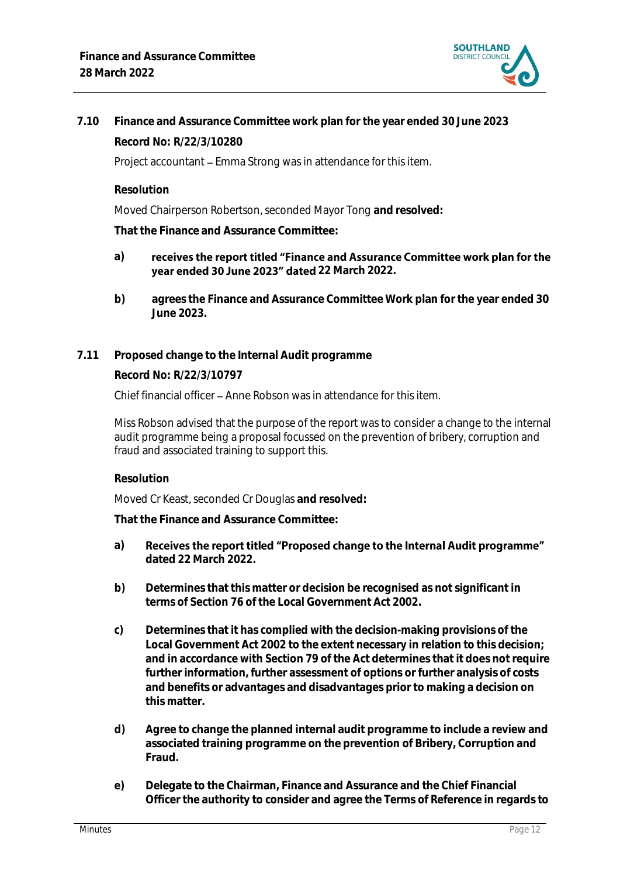

## **7.10 Finance and Assurance Committee work plan for the year ended 30 June 2023 Record No: R/22/3/10280**

Project accountant - Emma Strong was in attendance for this item.

**Resolution**

Moved Chairperson Robertson, seconded Mayor Tong **and resolved:**

**That the Finance and Assurance Committee:**

- **a)** receives the report titled "Finance and Assurance Committee work plan for the **year ended 30 June 2023" dated** 22 March 2022.
- **b) agrees the Finance and Assurance Committee Work plan for the year ended 30 June 2023.**
- **7.11 Proposed change to the Internal Audit programme**

**Record No: R/22/3/10797**

Chief financial officer – Anne Robson was in attendance for this item.

Miss Robson advised that the purpose of the report was to consider a change to the internal audit programme being a proposal focussed on the prevention of bribery, corruption and fraud and associated training to support this.

### **Resolution**

Moved Cr Keast, seconded Cr Douglas **and resolved:**

- **a)** Receives the report titled "Proposed change to the Internal Audit programme" **dated 22 March 2022.**
- **b) Determines that this matter or decision be recognised as not significant in terms of Section 76 of the Local Government Act 2002.**
- **c) Determines that it has complied with the decision-making provisions of the Local Government Act 2002 to the extent necessary in relation to this decision; and in accordance with Section 79 of the Act determines that it does not require further information, further assessment of options or further analysis of costs and benefits or advantages and disadvantages prior to making a decision on this matter.**
- **d) Agree to change the planned internal audit programme to include a review and associated training programme on the prevention of Bribery, Corruption and Fraud.**
- **e) Delegate to the Chairman, Finance and Assurance and the Chief Financial Officer the authority to consider and agree the Terms of Reference in regards to**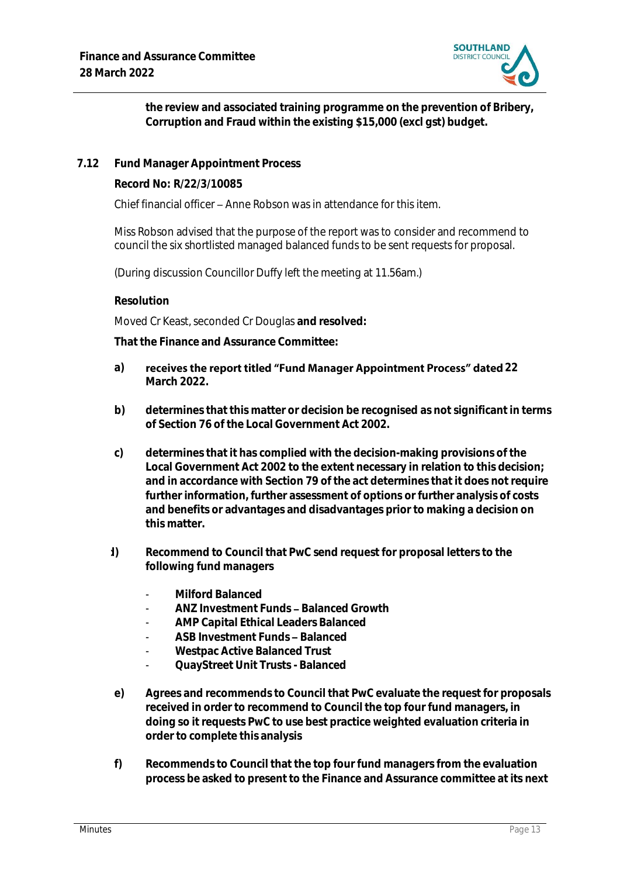

**the review and associated training programme on the prevention of Bribery, Corruption and Fraud within the existing \$15,000 (excl gst) budget.**

**7.12 Fund Manager Appointment Process**

**Record No: R/22/3/10085**

Chief financial officer - Anne Robson was in attendance for this item.

Miss Robson advised that the purpose of the report was to consider and recommend to council the six shortlisted managed balanced funds to be sent requests for proposal.

(During discussion Councillor Duffy left the meeting at 11.56am.)

#### **Resolution**

Moved Cr Keast, seconded Cr Douglas **and resolved:**

- a) receives the report titled "Fund Manager Appointment Process" dated 22 **March 2022.**
- **b) determines that this matter or decision be recognised as not significant in terms of Section 76 of the Local Government Act 2002.**
- **c) determines that it has complied with the decision-making provisions of the Local Government Act 2002 to the extent necessary in relation to this decision; and in accordance with Section 79 of the act determines that it does not require further information, further assessment of options or further analysis of costs and benefits or advantages and disadvantages prior to making a decision on this matter.**
- **d) Recommend to Council that PwC send request for proposal letters to the following fund managers**
	- **Milford Balanced**
	- **ANZ Investment Funds Balanced Growth**
	- **AMP Capital Ethical Leaders Balanced**
	- ASB Investment Funds Balanced
	- **Westpac Active Balanced Trust**
	- **QuayStreet Unit Trusts - Balanced**
- **e) Agrees and recommends to Council that PwC evaluate the request for proposals received in order to recommend to Council the top four fund managers, in doing so it requests PwC to use best practice weighted evaluation criteria in order to complete this analysis**
- **f) Recommends to Council that the top four fund managers from the evaluation process be asked to present to the Finance and Assurance committee at its next**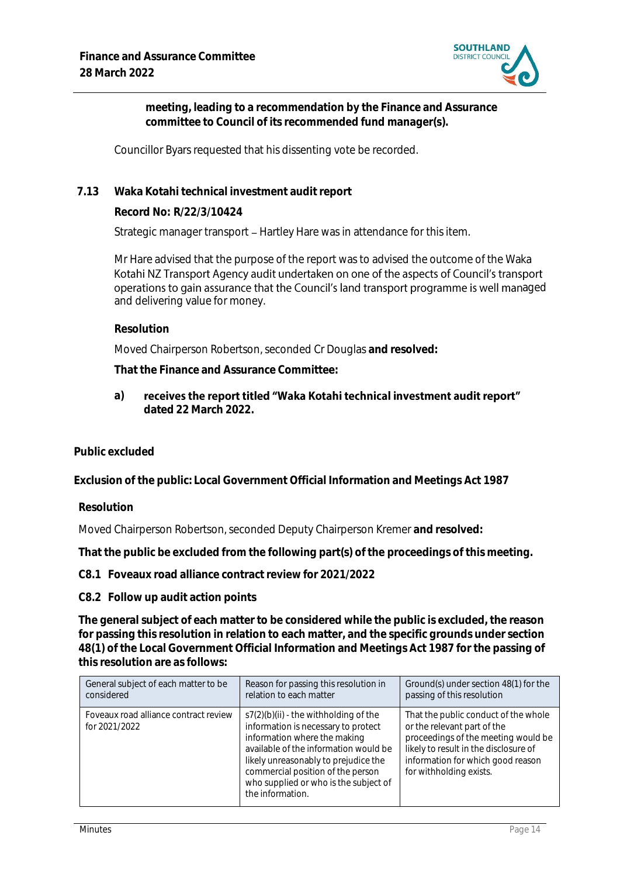

**meeting, leading to a recommendation by the Finance and Assurance committee to Council of its recommended fund manager(s).**

Councillor Byars requested that his dissenting vote be recorded.

**7.13 Waka Kotahi technical investment audit report**

**Record No: R/22/3/10424**

Strategic manager transport - Hartley Hare was in attendance for this item.

Mr Hare advised that the purpose of the report was to advised the outcome of the Waka Kotahi NZ Transport Agency audit undertaken on one of the aspects of Council's transport operations to gain assurance that the Council's land transport programme is well managed and delivering value for money.

**Resolution**

Moved Chairperson Robertson, seconded Cr Douglas **and resolved:**

**That the Finance and Assurance Committee:**

**a)** receives the report titled "Waka Kotahi technical investment audit report" **dated 22 March 2022.**

**Public excluded**

**Exclusion of the public: Local Government Official Information and Meetings Act 1987**

**Resolution**

Moved Chairperson Robertson, seconded Deputy Chairperson Kremer **and resolved:**

**That the public be excluded from the following part(s) of the proceedings of this meeting.**

**C8.1 Foveaux road alliance contract review for 2021/2022**

**C8.2 Follow up audit action points**

**The general subject of each matter to be considered while the public is excluded, the reason for passing this resolution in relation to each matter, and the specific grounds under section 48(1) of the Local Government Official Information and Meetings Act 1987 for the passing of this resolution are as follows:**

| General subject of each matter to be                   | Reason for passing this resolution in                                                                                                                                                                                                                                                             | Ground(s) under section 48(1) for the                                                                                                                                                                               |
|--------------------------------------------------------|---------------------------------------------------------------------------------------------------------------------------------------------------------------------------------------------------------------------------------------------------------------------------------------------------|---------------------------------------------------------------------------------------------------------------------------------------------------------------------------------------------------------------------|
| considered                                             | relation to each matter                                                                                                                                                                                                                                                                           | passing of this resolution                                                                                                                                                                                          |
| Foveaux road alliance contract review<br>for 2021/2022 | $s7(2)(b)(ii)$ - the withholding of the<br>information is necessary to protect<br>information where the making<br>available of the information would be<br>likely unreasonably to prejudice the<br>commercial position of the person<br>who supplied or who is the subject of<br>the information. | That the public conduct of the whole<br>or the relevant part of the<br>proceedings of the meeting would be<br>likely to result in the disclosure of<br>information for which good reason<br>for withholding exists. |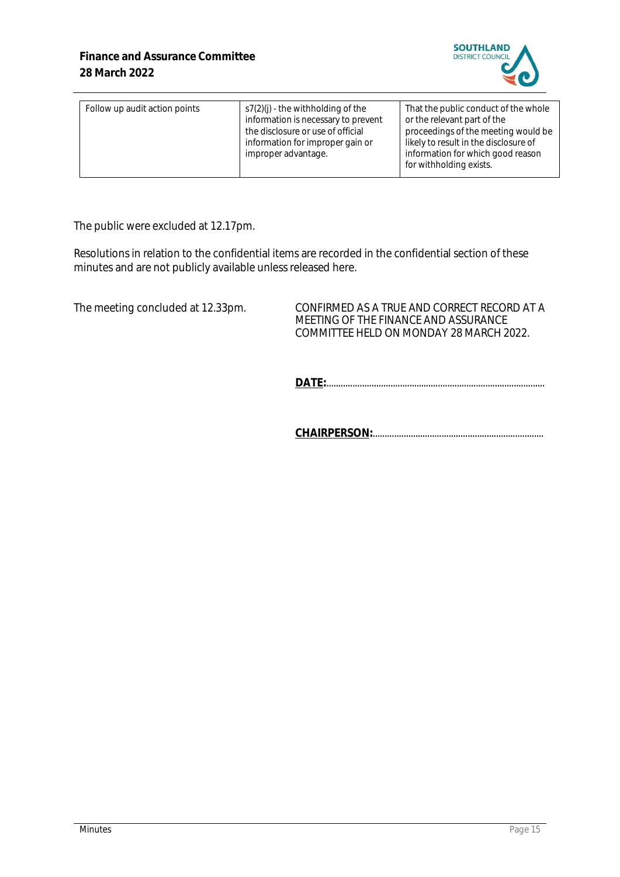

| Follow up audit action points | $s7(2)(i)$ - the withholding of the<br>information is necessary to prevent<br>the disclosure or use of official<br>information for improper gain or<br>improper advantage. | That the public conduct of the whole<br>or the relevant part of the<br>proceedings of the meeting would be<br>likely to result in the disclosure of<br>information for which good reason<br>for withholding exists. |
|-------------------------------|----------------------------------------------------------------------------------------------------------------------------------------------------------------------------|---------------------------------------------------------------------------------------------------------------------------------------------------------------------------------------------------------------------|
|-------------------------------|----------------------------------------------------------------------------------------------------------------------------------------------------------------------------|---------------------------------------------------------------------------------------------------------------------------------------------------------------------------------------------------------------------|

The public were excluded at 12.17pm.

Resolutions in relation to the confidential items are recorded in the confidential section of these minutes and are not publicly available unless released here.

The meeting concluded at 12.33pm. CONFIRMED AS A TRUE AND CORRECT RECORD AT A MEETING OF THE FINANCE AND ASSURANCE COMMITTEE HELD ON MONDAY 28 MARCH 2022.

**DATE:**............................................................................................

**CHAIRPERSON:**........................................................................